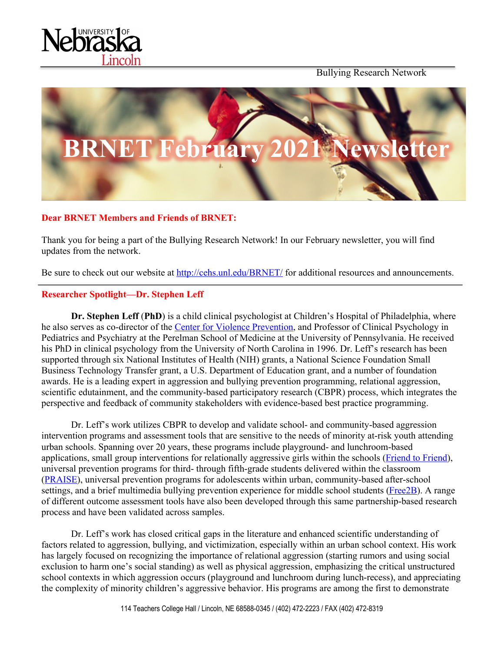

Bullying Research Network



# **Dear BRNET Members and Friends of BRNET:**

Thank you for being a part of the Bullying Research Network! In our February newsletter, you will find updates from the network.

Be sure to check out our website at http://cehs.unl.edu/BRNET/ for additional resources and announcements.

# **Researcher Spotlight—Dr. Stephen Leff**

**Dr. Stephen Leff** (**PhD**) is a child clinical psychologist at Children's Hospital of Philadelphia, where he also serves as co-director of the Center for Violence Prevention, and Professor of Clinical Psychology in Pediatrics and Psychiatry at the Perelman School of Medicine at the University of Pennsylvania. He received his PhD in clinical psychology from the University of North Carolina in 1996. Dr. Leff's research has been supported through six National Institutes of Health (NIH) grants, a National Science Foundation Small Business Technology Transfer grant, a U.S. Department of Education grant, and a number of foundation awards. He is a leading expert in aggression and bullying prevention programming, relational aggression, scientific edutainment, and the community-based participatory research (CBPR) process, which integrates the perspective and feedback of community stakeholders with evidence-based best practice programming.

Dr. Leff's work utilizes CBPR to develop and validate school- and community-based aggression intervention programs and assessment tools that are sensitive to the needs of minority at-risk youth attending urban schools. Spanning over 20 years, these programs include playground- and lunchroom-based applications, small group interventions for relationally aggressive girls within the schools (Friend to Friend), universal prevention programs for third- through fifth-grade students delivered within the classroom (PRAISE), universal prevention programs for adolescents within urban, community-based after-school settings, and a brief multimedia bullying prevention experience for middle school students (Free2B). A range of different outcome assessment tools have also been developed through this same partnership-based research process and have been validated across samples.

Dr. Leff's work has closed critical gaps in the literature and enhanced scientific understanding of factors related to aggression, bullying, and victimization, especially within an urban school context. His work has largely focused on recognizing the importance of relational aggression (starting rumors and using social exclusion to harm one's social standing) as well as physical aggression, emphasizing the critical unstructured school contexts in which aggression occurs (playground and lunchroom during lunch-recess), and appreciating the complexity of minority children's aggressive behavior. His programs are among the first to demonstrate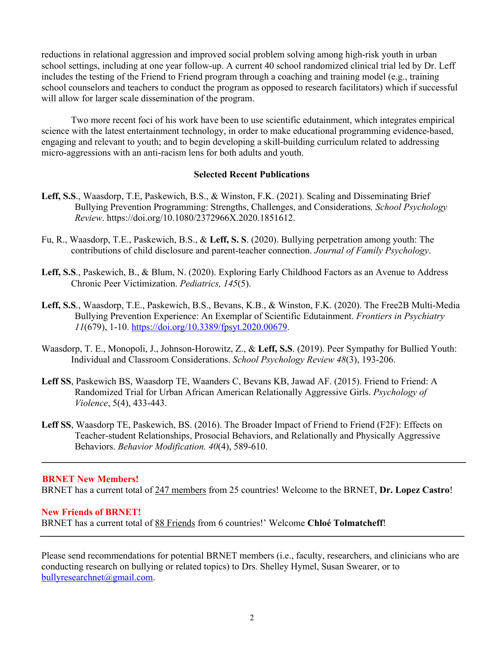reductions in relational aggression and improved social problem solving among high-risk youth in urban school settings, including at one year follow-up. A current 40 school randomized clinical trial led by Dr. Leff includes the testing of the Friend to Friend program through a coaching and training model (e.g., training school counselors and teachers to conduct the program as opposed to research facilitators) which if successful will allow for larger scale dissemination of the program.

Two more recent foci of his work have been to use scientific edutainment, which integrates empirical science with the latest entertainment technology, in order to make educational programming evidence-based, engaging and relevant to youth; and to begin developing a skill-building curriculum related to addressing micro-aggressions with an anti-racism lens for both adults and youth.

#### **Selected Recent Publications**

- **Leff, S.S**., Waasdorp, T.E, Paskewich, B.S., & Winston, F.K. (2021). Scaling and Disseminating Brief Bullying Prevention Programming: Strengths, Challenges, and Considerations*, School Psychology Review*. https://doi.org/10.1080/2372966X.2020.1851612.
- Fu, R., Waasdorp, T.E., Paskewich, B.S., & **Leff, S. S**. (2020). Bullying perpetration among youth: The contributions of child disclosure and parent-teacher connection. *Journal of Family Psychology*.
- **Leff, S.S**., Paskewich, B., & Blum, N. (2020). Exploring Early Childhood Factors as an Avenue to Address Chronic Peer Victimization. *Pediatrics, 145*(5).
- **Leff, S.S**., Waasdorp, T.E., Paskewich, B.S., Bevans, K.B., & Winston, F.K. (2020). The Free2B Multi-Media Bullying Prevention Experience: An Exemplar of Scientific Edutainment. *Frontiers in Psychiatry 11*(679), 1-10. https://doi.org/10.3389/fpsyt.2020.00679.
- Waasdorp, T. E., Monopoli, J., Johnson-Horowitz, Z., & **Leff, S.S**. (2019). Peer Sympathy for Bullied Youth: Individual and Classroom Considerations. *School Psychology Review 48*(3), 193-206.
- **Leff SS**, Paskewich BS, Waasdorp TE, Waanders C, Bevans KB, Jawad AF. (2015). Friend to Friend: A Randomized Trial for Urban African American Relationally Aggressive Girls. *Psychology of Violence*, 5(4), 433-443.
- **Leff SS**, Waasdorp TE, Paskewich, BS. (2016). The Broader Impact of Friend to Friend (F2F): Effects on Teacher-student Relationships, Prosocial Behaviors, and Relationally and Physically Aggressive Behaviors. *Behavior Modification. 40*(4), 589-610.

#### **BRNET New Members!**

BRNET has a current total of 247 members from 25 countries! Welcome to the BRNET, **Dr. Lopez Castro**!

#### **New Friends of BRNET!**

BRNET has a current total of 88 Friends from 6 countries!' Welcome **Chloé Tolmatcheff**!

Please send recommendations for potential BRNET members (i.e., faculty, researchers, and clinicians who are conducting research on bullying or related topics) to Drs. Shelley Hymel, Susan Swearer, or to bullyresearchnet@gmail.com.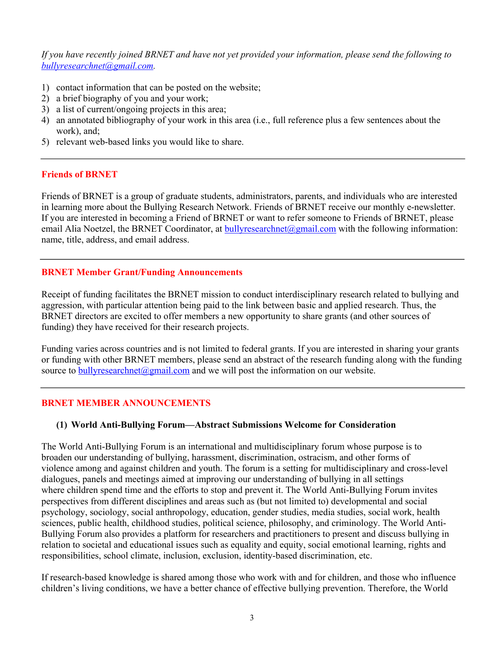*If you have recently joined BRNET and have not yet provided your information, please send the following to bullyresearchnet@gmail.com.*

- 1) contact information that can be posted on the website;
- 2) a brief biography of you and your work;
- 3) a list of current/ongoing projects in this area;
- 4) an annotated bibliography of your work in this area (i.e., full reference plus a few sentences about the work), and;
- 5) relevant web-based links you would like to share.

# **Friends of BRNET**

Friends of BRNET is a group of graduate students, administrators, parents, and individuals who are interested in learning more about the Bullying Research Network. Friends of BRNET receive our monthly e-newsletter. If you are interested in becoming a Friend of BRNET or want to refer someone to Friends of BRNET, please email Alia Noetzel, the BRNET Coordinator, at bullyresearchnet@gmail.com with the following information: name, title, address, and email address.

# **BRNET Member Grant/Funding Announcements**

Receipt of funding facilitates the BRNET mission to conduct interdisciplinary research related to bullying and aggression, with particular attention being paid to the link between basic and applied research. Thus, the BRNET directors are excited to offer members a new opportunity to share grants (and other sources of funding) they have received for their research projects.

Funding varies across countries and is not limited to federal grants. If you are interested in sharing your grants or funding with other BRNET members, please send an abstract of the research funding along with the funding source to  $\frac{bully researchnet(0,2,2)}{bully}$  and we will post the information on our website.

# **BRNET MEMBER ANNOUNCEMENTS**

#### **(1) World Anti-Bullying Forum—Abstract Submissions Welcome for Consideration**

The World Anti-Bullying Forum is an international and multidisciplinary forum whose purpose is to broaden our understanding of bullying, harassment, discrimination, ostracism, and other forms of violence among and against children and youth. The forum is a setting for multidisciplinary and cross-level dialogues, panels and meetings aimed at improving our understanding of bullying in all settings where children spend time and the efforts to stop and prevent it. The World Anti-Bullying Forum invites perspectives from different disciplines and areas such as (but not limited to) developmental and social psychology, sociology, social anthropology, education, gender studies, media studies, social work, health sciences, public health, childhood studies, political science, philosophy, and criminology. The World Anti-Bullying Forum also provides a platform for researchers and practitioners to present and discuss bullying in relation to societal and educational issues such as equality and equity, social emotional learning, rights and responsibilities, school climate, inclusion, exclusion, identity-based discrimination, etc.

If research-based knowledge is shared among those who work with and for children, and those who influence children's living conditions, we have a better chance of effective bullying prevention. Therefore, the World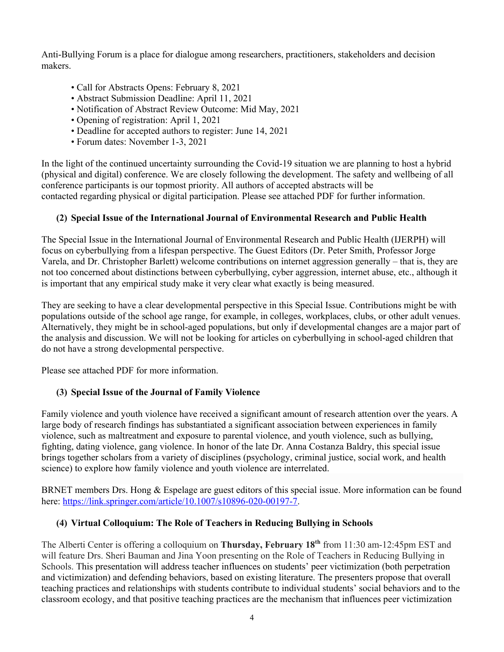Anti-Bullying Forum is a place for dialogue among researchers, practitioners, stakeholders and decision makers.

- Call for Abstracts Opens: February 8, 2021
- Abstract Submission Deadline: April 11, 2021
- Notification of Abstract Review Outcome: Mid May, 2021
- Opening of registration: April 1, 2021
- Deadline for accepted authors to register: June 14, 2021
- Forum dates: November 1-3, 2021

In the light of the continued uncertainty surrounding the Covid-19 situation we are planning to host a hybrid (physical and digital) conference. We are closely following the development. The safety and wellbeing of all conference participants is our topmost priority. All authors of accepted abstracts will be contacted regarding physical or digital participation. Please see attached PDF for further information.

# **(2) Special Issue of the International Journal of Environmental Research and Public Health**

The Special Issue in the International Journal of Environmental Research and Public Health (IJERPH) will focus on cyberbullying from a lifespan perspective. The Guest Editors (Dr. Peter Smith, Professor Jorge Varela, and Dr. Christopher Barlett) welcome contributions on internet aggression generally – that is, they are not too concerned about distinctions between cyberbullying, cyber aggression, internet abuse, etc., although it is important that any empirical study make it very clear what exactly is being measured.

They are seeking to have a clear developmental perspective in this Special Issue. Contributions might be with populations outside of the school age range, for example, in colleges, workplaces, clubs, or other adult venues. Alternatively, they might be in school-aged populations, but only if developmental changes are a major part of the analysis and discussion. We will not be looking for articles on cyberbullying in school-aged children that do not have a strong developmental perspective.

Please see attached PDF for more information.

# **(3) Special Issue of the Journal of Family Violence**

Family violence and youth violence have received a significant amount of research attention over the years. A large body of research findings has substantiated a significant association between experiences in family violence, such as maltreatment and exposure to parental violence, and youth violence, such as bullying, fighting, dating violence, gang violence. In honor of the late Dr. Anna Costanza Baldry, this special issue brings together scholars from a variety of disciplines (psychology, criminal justice, social work, and health science) to explore how family violence and youth violence are interrelated.

BRNET members Drs. Hong & Espelage are guest editors of this special issue. More information can be found here: https://link.springer.com/article/10.1007/s10896-020-00197-7.

# **(4) Virtual Colloquium: The Role of Teachers in Reducing Bullying in Schools**

The Alberti Center is offering a colloquium on **Thursday, February 18th** from 11:30 am-12:45pm EST and will feature Drs. Sheri Bauman and Jina Yoon presenting on the Role of Teachers in Reducing Bullying in Schools. This presentation will address teacher influences on students' peer victimization (both perpetration and victimization) and defending behaviors, based on existing literature. The presenters propose that overall teaching practices and relationships with students contribute to individual students' social behaviors and to the classroom ecology, and that positive teaching practices are the mechanism that influences peer victimization